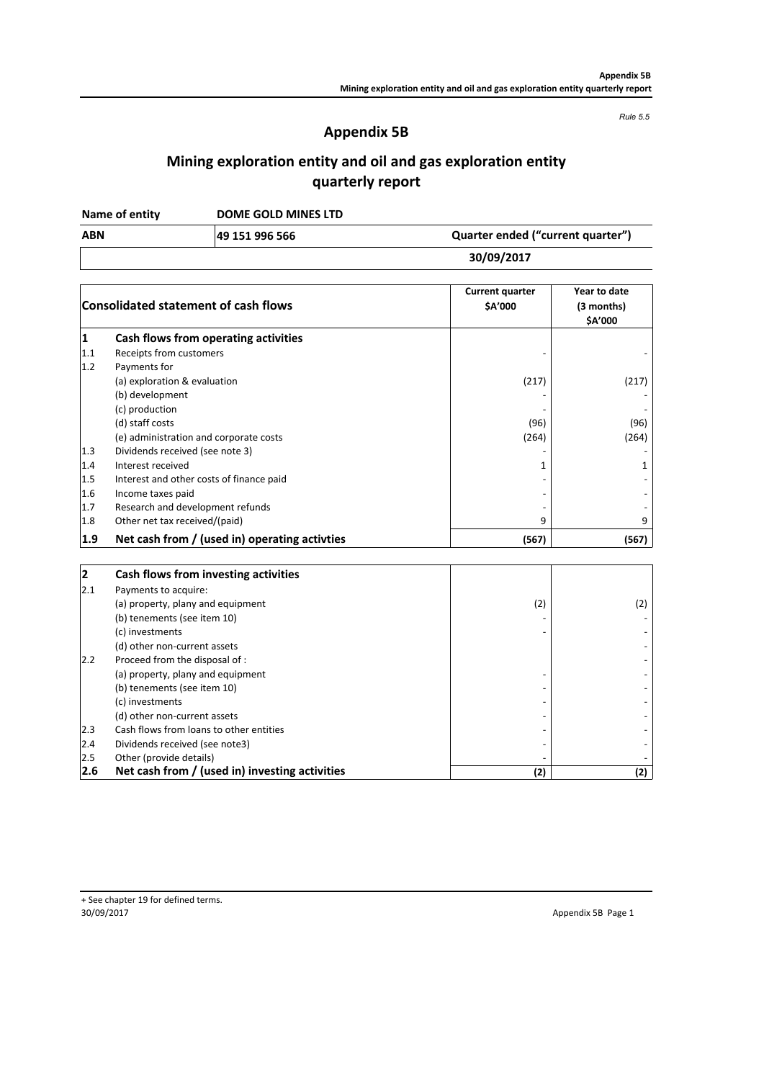*Rule 5.5*

## **Appendix 5B**

# **Mining exploration entity and oil and gas exploration entity quarterly report**

**DOME GOLD MINES LTD Name of entity**

**49 151 996 566**

| 30/09/2017 |  |
|------------|--|
|------------|--|

**ABN Quarter ended ("current quarter")**

|              | <b>Consolidated statement of cash flows</b>    | <b>Current quarter</b><br>\$A'000 | Year to date<br>(3 months)<br>\$A'000 |
|--------------|------------------------------------------------|-----------------------------------|---------------------------------------|
| $\mathbf{1}$ | Cash flows from operating activities           |                                   |                                       |
| 1.1          | Receipts from customers                        |                                   |                                       |
| 1.2          | Payments for                                   |                                   |                                       |
|              | (a) exploration & evaluation                   | (217)                             | (217)                                 |
|              | (b) development                                |                                   |                                       |
|              | (c) production                                 |                                   |                                       |
|              | (d) staff costs                                | (96)                              | (96)                                  |
|              | (e) administration and corporate costs         | (264)                             | (264)                                 |
| 1.3          | Dividends received (see note 3)                |                                   |                                       |
| 1.4          | Interest received                              | 1                                 | 1                                     |
| 1.5          | Interest and other costs of finance paid       |                                   |                                       |
| 1.6          | Income taxes paid                              |                                   |                                       |
| 1.7          | Research and development refunds               |                                   |                                       |
| 1.8          | Other net tax received/(paid)                  | 9                                 | 9                                     |
| 1.9          | Net cash from / (used in) operating activties  | (567)                             | (567)                                 |
| $\mathbf{2}$ | Cash flows from investing activities           |                                   |                                       |
| 2.1          | Payments to acquire:                           |                                   |                                       |
|              | (a) property, plany and equipment              | (2)                               | (2)                                   |
|              | (b) tenements (see item 10)                    |                                   |                                       |
|              | (c) investments                                |                                   |                                       |
|              | (d) other non-current assets                   |                                   |                                       |
| 2.2          | Proceed from the disposal of :                 |                                   |                                       |
|              | (a) property, plany and equipment              |                                   |                                       |
|              | (b) tenements (see item 10)                    |                                   |                                       |
|              | (c) investments                                |                                   |                                       |
|              | (d) other non-current assets                   |                                   |                                       |
| 2.3          | Cash flows from loans to other entities        |                                   |                                       |
| 2.4          | Dividends received (see note3)                 |                                   |                                       |
| 2.5          | Other (provide details)                        |                                   |                                       |
| 2.6          | Net cash from / (used in) investing activities | (2)                               | (2)                                   |

Appendix 5B Page 1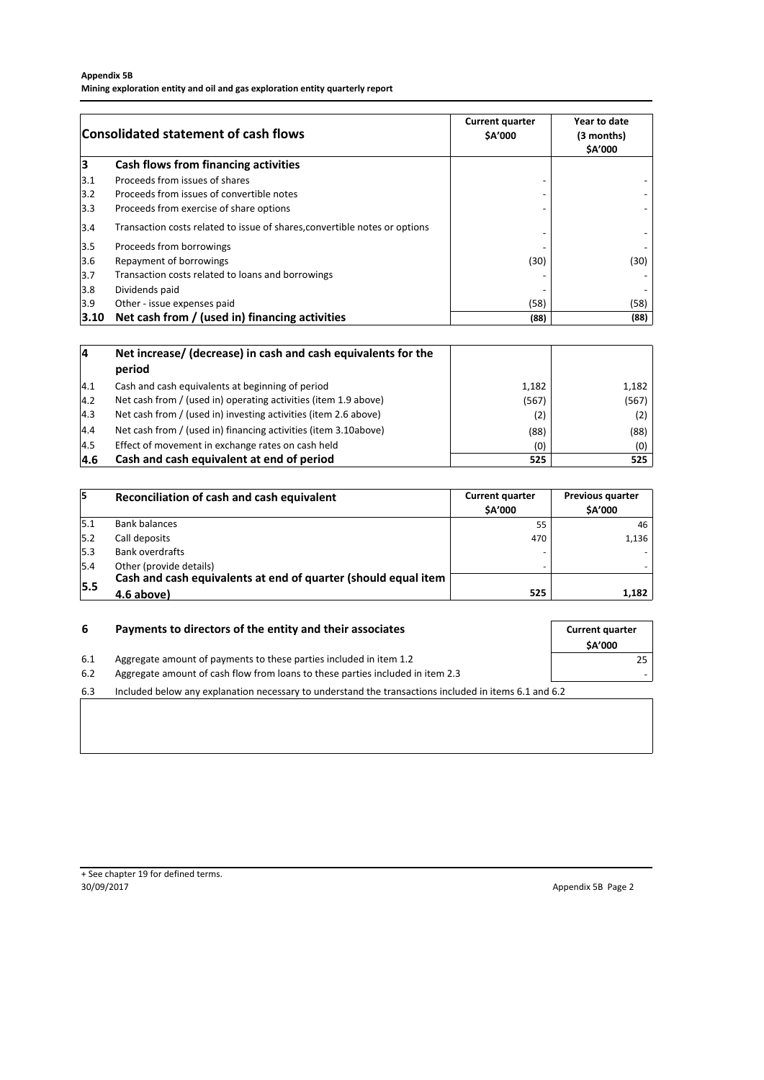#### **Appendix 5B**

**Mining exploration entity and oil and gas exploration entity quarterly report**

|      | <b>Consolidated statement of cash flows</b>                                | <b>Current quarter</b><br>\$A'000 | Year to date<br>(3 months)<br>\$A'000 |
|------|----------------------------------------------------------------------------|-----------------------------------|---------------------------------------|
| 3    | Cash flows from financing activities                                       |                                   |                                       |
| 3.1  | Proceeds from issues of shares                                             |                                   |                                       |
| 3.2  | Proceeds from issues of convertible notes                                  |                                   |                                       |
| 3.3  | Proceeds from exercise of share options                                    |                                   |                                       |
| 3.4  | Transaction costs related to issue of shares, convertible notes or options |                                   |                                       |
| 3.5  | Proceeds from borrowings                                                   |                                   |                                       |
| 3.6  | Repayment of borrowings                                                    | (30)                              | (30)                                  |
| 3.7  | Transaction costs related to loans and borrowings                          |                                   |                                       |
| 3.8  | Dividends paid                                                             |                                   |                                       |
| 3.9  | Other - issue expenses paid                                                | (58)                              | (58)                                  |
| 3.10 | Net cash from / (used in) financing activities                             | (88)                              | (88)                                  |

| 14   | Net increase/ (decrease) in cash and cash equivalents for the   |       |       |
|------|-----------------------------------------------------------------|-------|-------|
|      | period                                                          |       |       |
| 4.1  | Cash and cash equivalents at beginning of period                | 1,182 | 1,182 |
| 4.2  | Net cash from / (used in) operating activities (item 1.9 above) | (567) | (567) |
| 4.3  | Net cash from / (used in) investing activities (item 2.6 above) | (2)   | (2)   |
| 4.4  | Net cash from / (used in) financing activities (item 3.10above) | (88)  | (88)  |
| 14.5 | Effect of movement in exchange rates on cash held               | (0)   | (0)   |
| 4.6  | Cash and cash equivalent at end of period                       | 525   | 525   |

| 15   | Reconciliation of cash and cash equivalent                                                | <b>Current quarter</b><br><b>SA'000</b> | <b>Previous quarter</b><br><b>\$A'000</b> |
|------|-------------------------------------------------------------------------------------------|-----------------------------------------|-------------------------------------------|
| 5.1  | <b>Bank balances</b>                                                                      | 55                                      | 46                                        |
| 15.2 | Call deposits                                                                             | 470                                     | 1,136                                     |
| 15.3 | <b>Bank overdrafts</b>                                                                    |                                         |                                           |
| 5.4  | Other (provide details)<br>Cash and cash equivalents at end of quarter (should equal item |                                         |                                           |
| 15.5 | 4.6 above)                                                                                | 525                                     | 1,182                                     |

| 6   | Payments to directors of the entity and their associates                                              | <b>Current quarter</b><br><b>SA'000</b> |
|-----|-------------------------------------------------------------------------------------------------------|-----------------------------------------|
| 6.1 | Aggregate amount of payments to these parties included in item 1.2                                    | 25                                      |
| 6.2 | Aggregate amount of cash flow from loans to these parties included in item 2.3                        |                                         |
| 6.3 | Included below any explanation necessary to understand the transactions included in items 6.1 and 6.2 |                                         |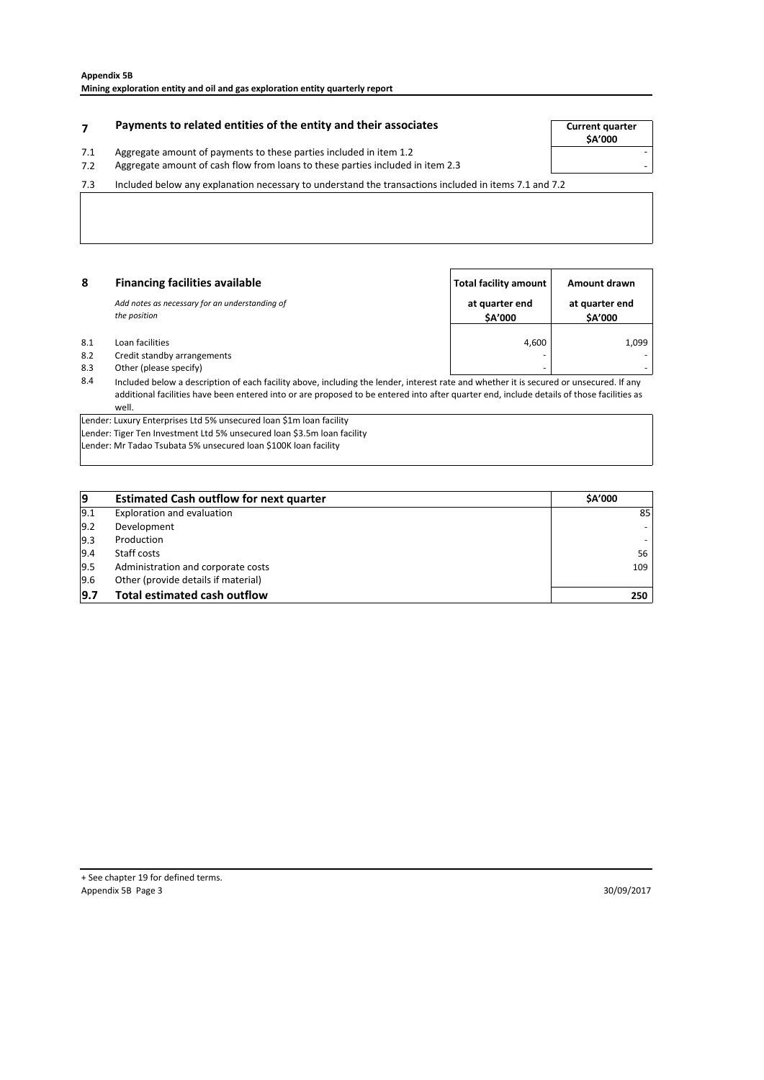# **Payments to related entities of the entity and their associates The Current quarter**

- 7.1 Aggregate amount of payments to these parties included in item 1.2
- 7.2 Aggregate amount of cash flow from Ioans to these parties included in item 2.3

7.3 Included below any explanation necessary to understand the transactions included in items 7.1 and 7.2

| 8   | <b>Financing facilities available</b>                          | Total facility amount           | Amount drawn              |
|-----|----------------------------------------------------------------|---------------------------------|---------------------------|
|     | Add notes as necessary for an understanding of<br>the position | at quarter end<br><b>SA'000</b> | at quarter end<br>\$A'000 |
| 8.1 | Loan facilities                                                | 4.600                           | 1,099                     |
| 8.2 | Credit standby arrangements                                    |                                 | -                         |
| 8.3 | Other (please specify)                                         |                                 | -                         |

8.4 Included below a description of each facility above, including the lender, interest rate and whether it is secured or unsecured. If any additional facilities have been entered into or are proposed to be entered into after quarter end, include details of those facilities as well.

Lender: Luxury Enterprises Ltd 5% unsecured loan \$1m loan facility Lender: Tiger Ten Investment Ltd 5% unsecured loan \$3.5m loan facility

Lender: Mr Tadao Tsubata 5% unsecured loan \$100K loan facility

| 9   | <b>Estimated Cash outflow for next quarter</b> | <b>SA'000</b> |
|-----|------------------------------------------------|---------------|
| 9.1 | Exploration and evaluation                     | 85            |
| 9.2 | Development                                    |               |
| 9.3 | Production                                     |               |
| 9.4 | Staff costs                                    | 56            |
| 9.5 | Administration and corporate costs             | 109           |
| 9.6 | Other (provide details if material)            |               |
| 9.7 | <b>Total estimated cash outflow</b>            | 250           |

**\$A'000**